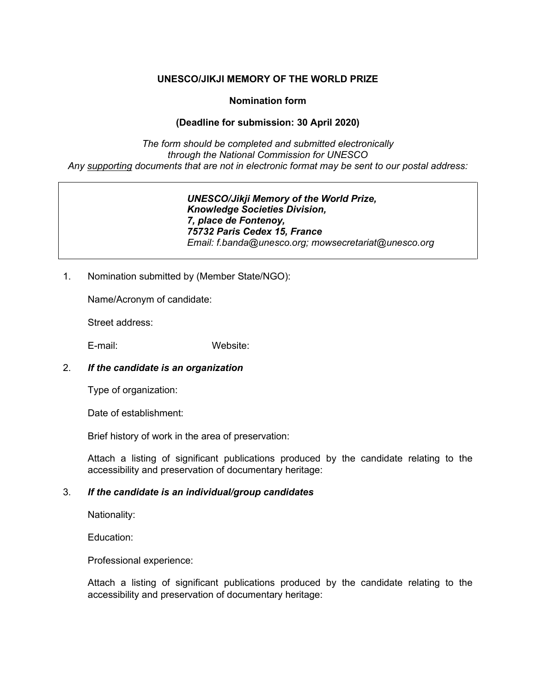## **UNESCO/JIKJI MEMORY OF THE WORLD PRIZE**

## **Nomination form**

# **(Deadline for submission: 30 April 2020)**

*The form should be completed and submitted electronically through the National Commission for UNESCO Any supporting documents that are not in electronic format may be sent to our postal address:*

> *UNESCO/Jikji Memory of the World Prize, Knowledge Societies Division, 7, place de Fontenoy, 75732 Paris Cedex 15, France Email: [f.banda@unesco.org;](mailto:f.banda@unesco.org) mowsecretariat@unesco.org*

1. Nomination submitted by (Member State/NGO):

Name/Acronym of candidate:

Street address:

E-mail: Website:

### 2. *If the candidate is an organization*

Type of organization:

Date of establishment:

Brief history of work in the area of preservation:

Attach a listing of significant publications produced by the candidate relating to the accessibility and preservation of documentary heritage:

### 3. *If the candidate is an individual/group candidates*

Nationality:

Education:

Professional experience:

Attach a listing of significant publications produced by the candidate relating to the accessibility and preservation of documentary heritage: